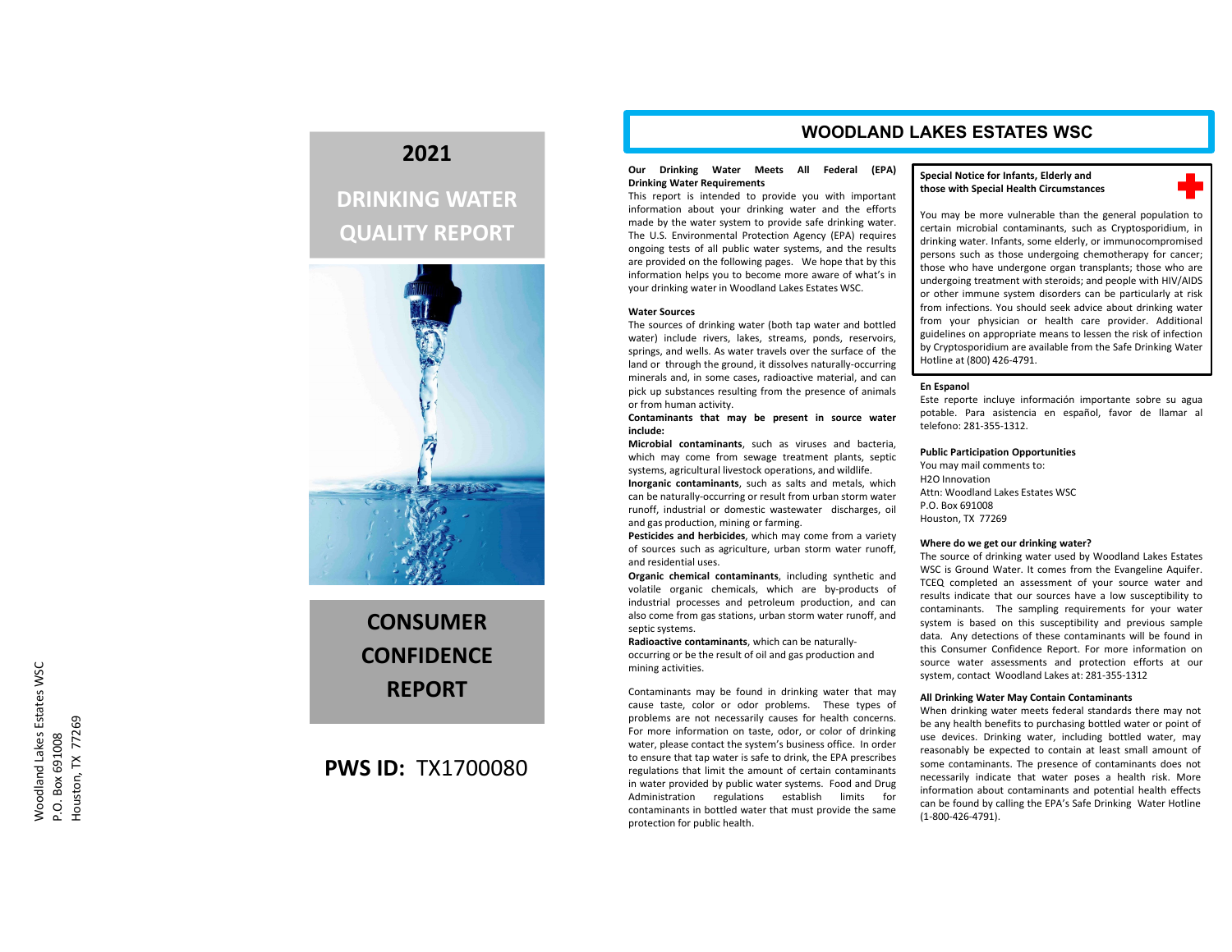# **2021**

# **DRINKING WATER QUALITY REPORT**



**CONSUMERCONFIDENCEREPORT**

## **PWS ID:** TX1700080

### **WOODLAND LAKES ESTATES WSC**

### **Our Drinking Water Meets All Federal (EPA) Drinking Water Requirements**

This report is intended to provide you with important information about your drinking water and the efforts made by the water system to provide safe drinking water. The U.S. Environmental Protection Agency (EPA) requires ongoing tests of all public water systems, and the results are provided on the following pages. We hope that by this information helps you to become more aware of what's in your drinking water in Woodland Lakes Estates WSC.

### **Water Sources**

The sources of drinking water (both tap water and bottled water) include rivers, lakes, streams, ponds, reservoirs, springs, and wells. As water travels over the surface of the land or through the ground, it dissolves naturally‐occurring minerals and, in some cases, radioactive material, and can pick up substances resulting from the presence of animals or from human activity.

### **Contaminants that may be present in source water include:**

**Microbial contaminants**, such as viruses and bacteria, which may come from sewage treatment plants, septic systems, agricultural livestock operations, and wildlife.

**Inorganic contaminants**, such as salts and metals, which can be naturally‐occurring or result from urban storm water runoff, industrial or domestic wastewater discharges, oil and gas production, mining or farming.

**Pesticides and herbicides**, which may come from <sup>a</sup> variety of sources such as agriculture, urban storm water runoff, and residential uses.

**Organic chemical contaminants**, including synthetic and volatile organic chemicals, which are by‐products of industrial processes and petroleum production, and can also come from gas stations, urban storm water runoff, and septic systems.

**Radioactive contaminants**, which can be naturally‐ occurring or be the result of oil and gas production and mining activities.

Contaminants may be found in drinking water that may cause taste, color or odor problems. These types of problems are not necessarily causes for health concerns. For more information on taste, odor, or color of drinking water, please contact the system's business office. In order to ensure that tap water is safe to drink, the EPA prescribes regulations that limit the amount of certain contaminants in water provided by public water systems. Food and Drug Administration regulations establish limits for contaminants in bottled water that must provide the same protection for public health.

### **Special Notice for Infants, Elderly and those with Special Health Circumstances**



You may be more vulnerable than the general population to certain microbial contaminants, such as Cryptosporidium, in drinking water. Infants, some elderly, or immunocompromised persons such as those undergoing chemotherapy for cancer; those who have undergone organ transplants; those who are undergoing treatment with steroids; and people with HIV/AIDS or other immune system disorders can be particularly at risk from infections. You should seek advice about drinking water from your physician or health care provider. Additional guidelines on appropriate means to lessen the risk of infection by Cryptosporidium are available from the Safe Drinking Water Hotline at (800) 426‐4791.

### **En Espanol**

Este reporte incluye información importante sobre su agua potable. Para asistencia en español, favor de llamar al telefono: 281‐355‐1312.

### **Public Participation Opportunities**

You may mail comments to: H2O InnovationAttn: Woodland Lakes Estates WSCP.O. Box 691008Houston, TX 77269

### **Where do we get our drinking water?**

The source of drinking water used by Woodland Lakes Estates WSC is Ground Water. It comes from the Evangeline Aquifer. TCEQ completed an assessment of your source water and results indicate that our sources have <sup>a</sup> low susceptibility to contaminants. The sampling requirements for your water system is based on this susceptibility and previous sample data. Any detections of these contaminants will be found in this Consumer Confidence Report. For more information on source water assessments and protection efforts at our system, contact Woodland Lakes at: 281‐355‐1312

#### **All Drinking Water May Contain Contaminants**

When drinking water meets federal standards there may not be any health benefits to purchasing bottled water or point of use devices. Drinking water, including bottled water, may reasonably be expected to contain at least small amount of some contaminants. The presence of contaminants does not necessarily indicate that water poses <sup>a</sup> health risk. More information about contaminants and potential health effects can be found by calling the EPA's Safe Drinking Water Hotline (1‐800‐426‐4791).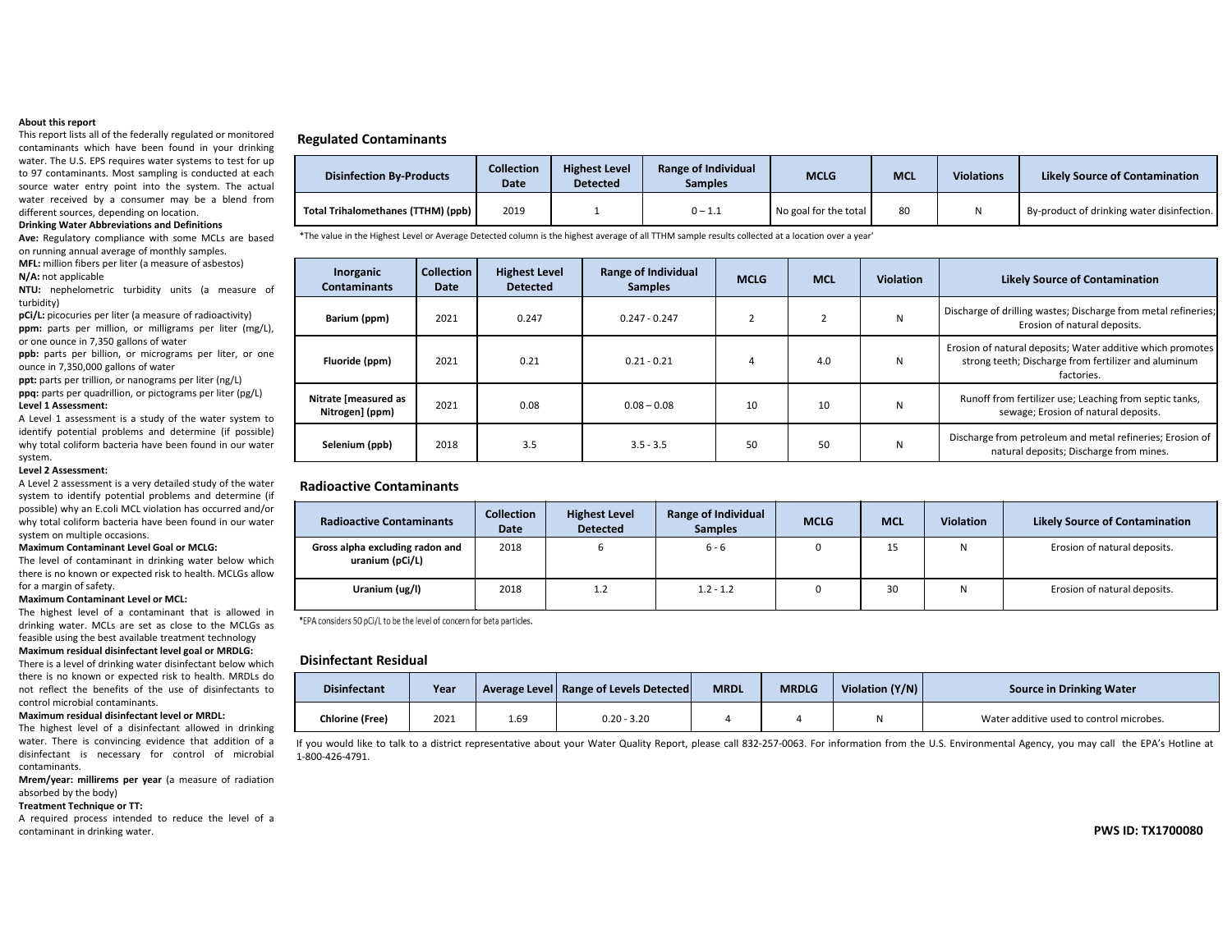### **About this report**

This report lists all of the federally regulated or monitored contaminants which have been found in your drinking water. The U.S. EPS requires water systems to test for up to 97 contaminants. Most sampling is conducted at each source water entry point into the system. The actual water received by <sup>a</sup> consumer may be <sup>a</sup> blend from different sources, depending on location.

#### **Drinking Water Abbreviations and Definitions**

**Ave:** Regulatory compliance with some MCLs are based on running annual average of monthly samples.

**MFL:** million fibers per liter (a measure of asbestos) **N/A:** not applicable

**NTU:** nephelometric turbidity units (a measure of turbidity)

**pCi/L:** picocuries per liter (a measure of radioactivity) **ppm:** parts per million, or milligrams per liter (mg/L), or one ounce in 7,350 gallons of water

**ppb:** parts per billion, or micrograms per liter, or one ounce in 7,350,000 gallons of water

**ppt:** parts per trillion, or nanograms per liter (ng/L) **ppq:** parts per quadrillion, or pictograms per liter (pg/L)

### **Level 1 Assessment:**

A Level 1 assessment is <sup>a</sup> study of the water system to identify potential problems and determine (if possible) why total coliform bacteria have been found in our water system.

### **Level 2 Assessment:**

A Level 2 assessment is <sup>a</sup> very detailed study of the water system to identify potential problems and determine (if possible) why an E.coli MCL violation has occurred and/or why total coliform bacteria have been found in our water system on multiple occasions.

#### **Maximum Contaminant Level Goal or MCLG:**

The level of contaminant in drinking water below which there is no known or expected risk to health. MCLGs allow for <sup>a</sup> margin of safety.

### **Maximum Contaminant Level or MCL:**

The highest level of <sup>a</sup> contaminant that is allowed in drinking water. MCLs are set as close to the MCLGs as feasible using the best available treatment technology **Maximum residual disinfectant level goal or MRDLG:**

There is <sup>a</sup> level of drinking water disinfectant below which there is no known or expected risk to health. MRDLs do not reflect the benefits of the use of disinfectants tocontrol microbial contaminants.

#### **Maximum residual disinfectant level or MRDL:**

The highest level of <sup>a</sup> disinfectant allowed in drinking water. There is convincing evidence that addition of <sup>a</sup> disinfectant is necessary for control of microbial contaminants.

**Mrem/year: millirems per year** (a measure of radiation absorbed by the body)

### **Treatment Technique or TT:**

A required process intended to reduce the level of <sup>a</sup> contaminant in drinking water.

### **Regulated Contaminants**

| <b>Disinfection By-Products</b>    | <b>Collection</b><br><b>Date</b> | <b>Highest Level</b><br><b>Detected</b> | <b>Range of Individual</b><br>Samples | <b>MCLG</b>           | <b>MCL</b> | <b>Violations</b> | <b>Likely Source of Contamination</b>      |
|------------------------------------|----------------------------------|-----------------------------------------|---------------------------------------|-----------------------|------------|-------------------|--------------------------------------------|
| Total Trihalomethanes (TTHM) (ppb) | 2019                             |                                         | $0 - 1.1$                             | No goal for the total | 80         |                   | By-product of drinking water disinfection. |

\*The value in the Highest Level or Average Detected column is the highest average of all TTHM sample results collected at <sup>a</sup> location over <sup>a</sup> year'

| Inorganic<br><b>Contaminants</b>        | <b>Collection</b><br>Date | <b>Highest Level</b><br><b>Detected</b> | <b>Range of Individual</b><br><b>Samples</b> | <b>MCLG</b> | <b>MCL</b> | <b>Violation</b> | <b>Likely Source of Contamination</b>                                                                                            |
|-----------------------------------------|---------------------------|-----------------------------------------|----------------------------------------------|-------------|------------|------------------|----------------------------------------------------------------------------------------------------------------------------------|
| Barium (ppm)                            | 2021                      | 0.247                                   | $0.247 - 0.247$                              |             |            | N                | Discharge of drilling wastes; Discharge from metal refineries;<br>Erosion of natural deposits.                                   |
| Fluoride (ppm)                          | 2021                      | 0.21                                    | $0.21 - 0.21$                                |             | 4.0        | N                | Erosion of natural deposits; Water additive which promotes<br>strong teeth; Discharge from fertilizer and aluminum<br>factories. |
| Nitrate [measured as<br>Nitrogen] (ppm) | 2021                      | 0.08                                    | $0.08 - 0.08$                                | 10          | 10         | N                | Runoff from fertilizer use; Leaching from septic tanks,<br>sewage; Erosion of natural deposits.                                  |
| Selenium (ppb)                          | 2018                      | 3.5                                     | $3.5 - 3.5$                                  | 50          | 50         | N                | Discharge from petroleum and metal refineries; Erosion of<br>natural deposits; Discharge from mines.                             |

### **Radioactive Contaminants**

| <b>Radioactive Contaminants</b>                    | <b>Collection</b><br>Date | <b>Highest Level</b><br><b>Detected</b> | <b>Range of Individual</b><br><b>Samples</b> | <b>MCLG</b> | <b>MCL</b> | <b>Violation</b> | <b>Likely Source of Contamination</b> |
|----------------------------------------------------|---------------------------|-----------------------------------------|----------------------------------------------|-------------|------------|------------------|---------------------------------------|
| Gross alpha excluding radon and<br>uranium (pCi/L) | 2018                      | υ                                       | $6 - 6$                                      | 0           | 15         | Ν                | Erosion of natural deposits.          |
| Uranium (ug/l)                                     | 2018                      | 1.2                                     | $1.2 - 1.2$                                  | 0           | 30         | N                | Erosion of natural deposits.          |

\*EPA considers 50 pCi/L to be the level of concern for beta particles.

### **Disinfectant Residual**

| <b>Disinfectant</b>    | Year |      | Average Level   Range of Levels Detected | <b>MRDL</b> | <b>MRDLG</b> | Violation $(Y/N)$ | <b>Source in Drinking Water</b>          |
|------------------------|------|------|------------------------------------------|-------------|--------------|-------------------|------------------------------------------|
| <b>Chlorine (Free)</b> | 2021 | 1.69 | $0.20 - 3.20$                            |             |              |                   | Water additive used to control microbes. |

If you would like to talk to a district representative about your Water Quality Report, please call 832‐257‐0063. For information from the U.S. Environmental Agency, you may call the EPA's Hotline at 1‐800‐426‐4791.

**PWS ID: TX1700080**